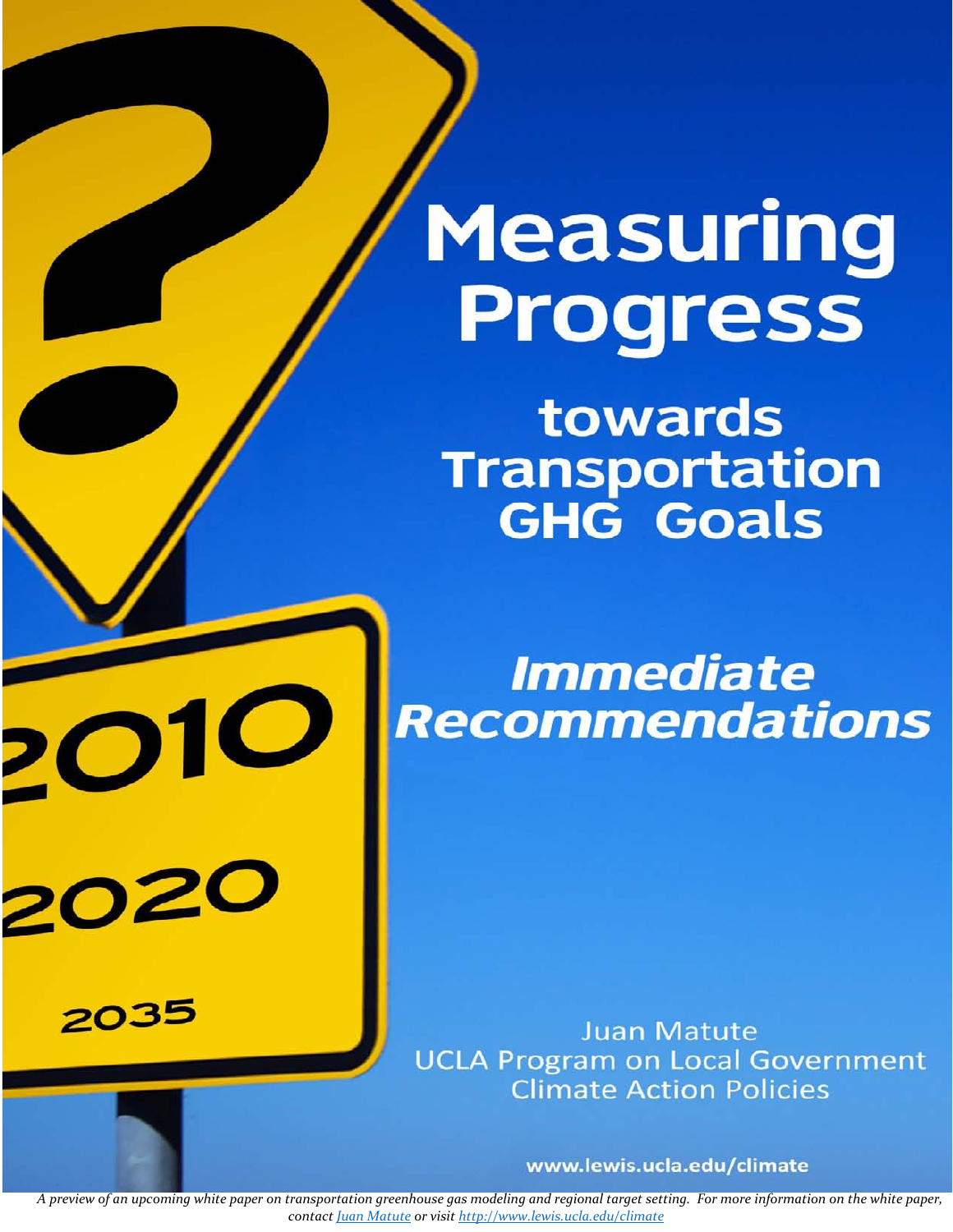# Measuring Progress

towards Transportation **GHG Goals** 

**Immediate Recommendations** 

**Juan Matute UCLA Program on Local Government Climate Action Policies** 

www.lewis.ucla.edu/climate

A preview of an upcoming white paper on transportation greenhouse gas modeling and regional target setting. For more information on the white paper, *contact Juan [Matute](mailto:jmatute@ucla.edu) or visit http://www.lewis.ucla.edu/climate*

 $20$ 

202

2035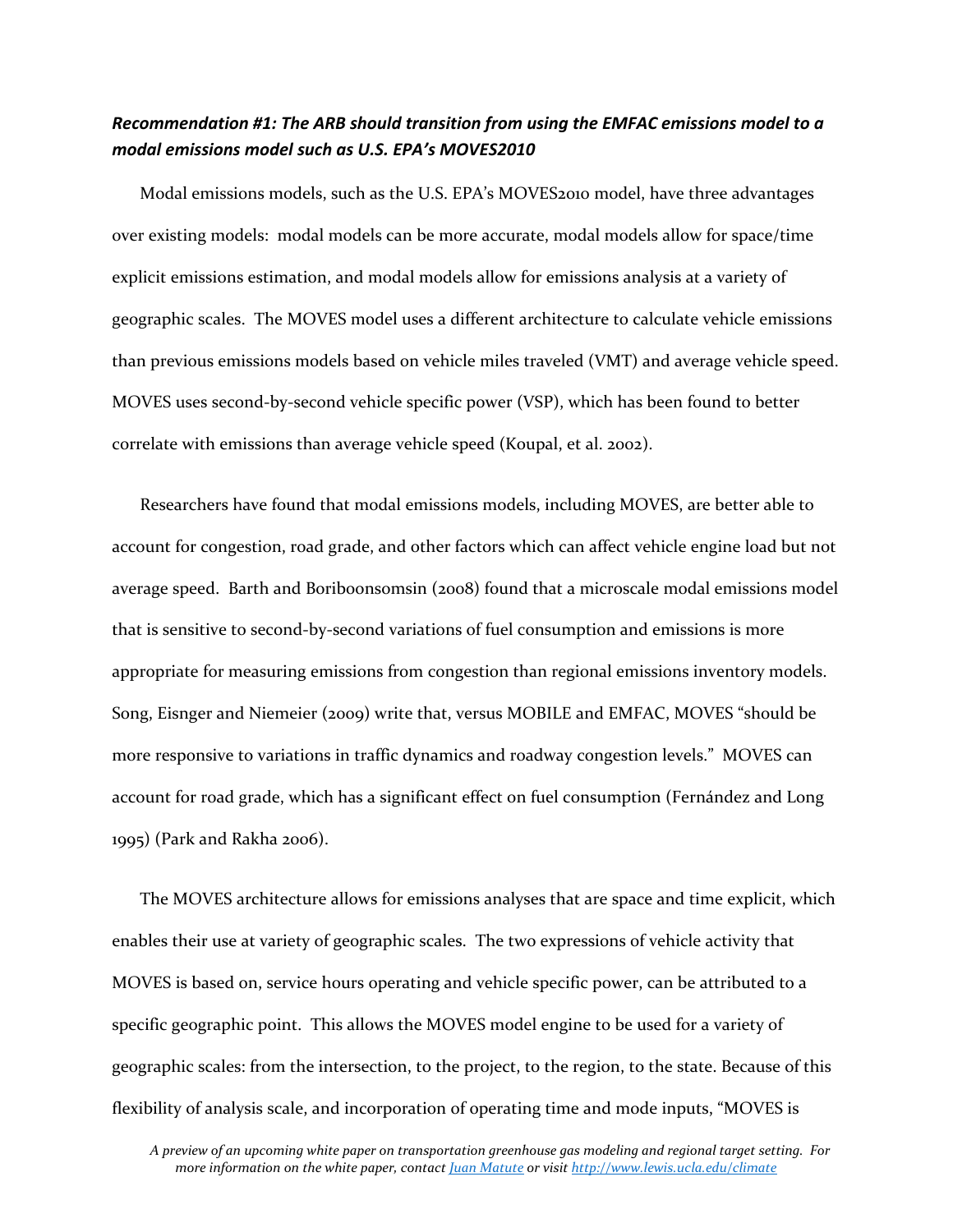## *Recommendation #1: The ARB should transition from using the EMFAC emissions model to a modal emissions model such as U.S. EPA's MOVES2010*

Modal emissions models, such as the U.S. EPA's MOVES2010 model, have three advantages over existing models: modal models can be more accurate, modal models allow for space/time explicit emissions estimation, and modal models allow for emissions analysis at a variety of geographic scales. The MOVES model uses a different architecture to calculate vehicle emissions than previous emissions models based on vehicle miles traveled (VMT) and average vehicle speed. MOVES uses second-by-second vehicle specific power (VSP), which has been found to better correlate with emissions than average vehicle speed (Koupal, et al. 2002).

Researchers have found that modal emissions models, including MOVES, are better able to account for congestion, road grade, and other factors which can affect vehicle engine load but not average speed. Barth and Boriboonsomsin (2008) found that a microscale modal emissions model that is sensitive to second‐by‐second variations of fuel consumption and emissions is more appropriate for measuring emissions from congestion than regional emissions inventory models. Song, Eisnger and Niemeier (2009) write that, versus MOBILE and EMFAC, MOVES "should be more responsive to variations in traffic dynamics and roadway congestion levels." MOVES can account for road grade, which has a significant effect on fuel consumption (Fernández and Long 1995) (Park and Rakha 2006).

The MOVES architecture allows for emissions analyses that are space and time explicit, which enables their use at variety of geographic scales. The two expressions of vehicle activity that MOVES is based on, service hours operating and vehicle specific power, can be attributed to a specific geographic point. This allows the MOVES model engine to be used for a variety of geographic scales: from the intersection, to the project, to the region, to the state. Because of this flexibility of analysis scale, and incorporation of operating time and mode inputs, "MOVES is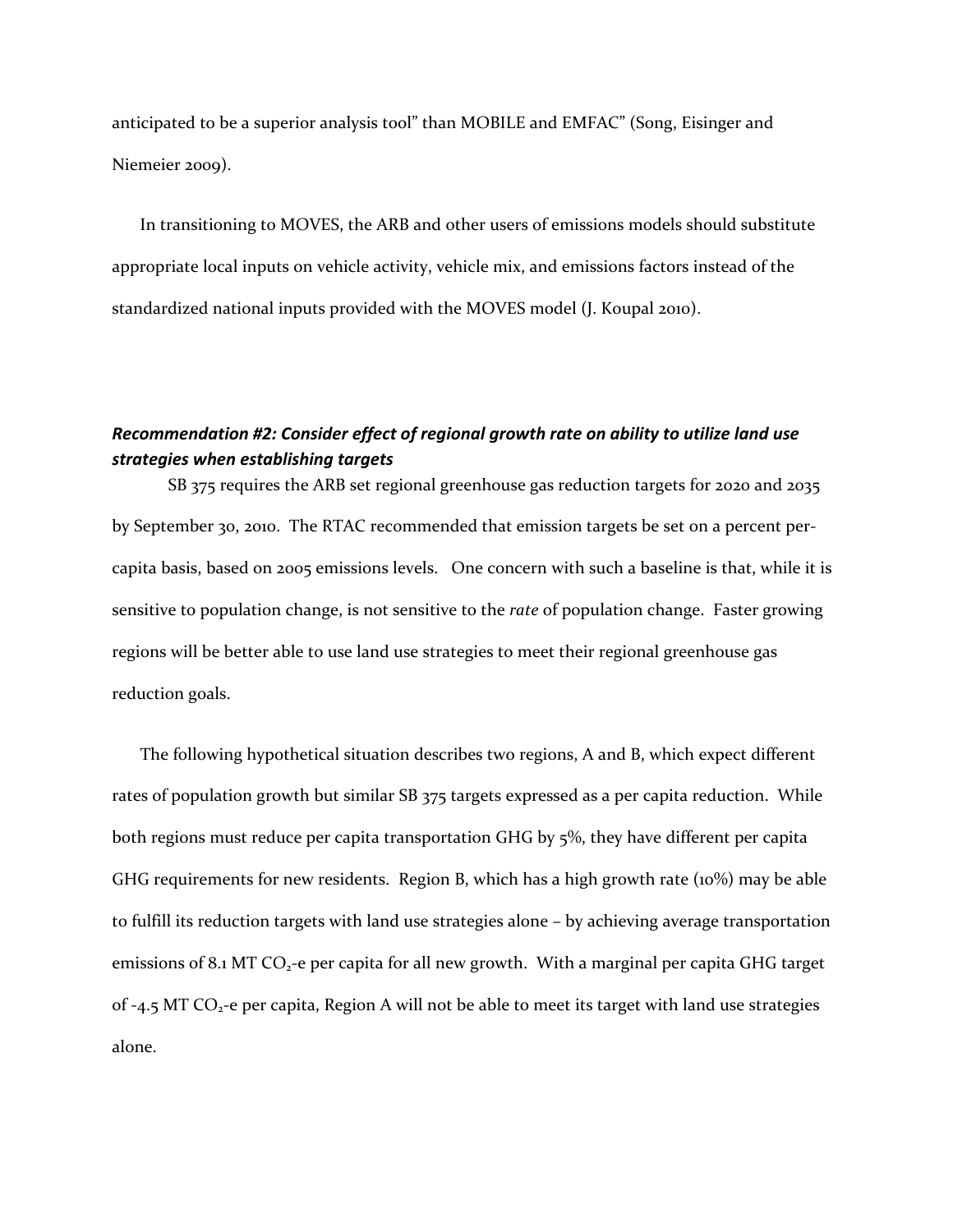anticipated to be a superior analysis tool" than MOBILE and EMFAC" (Song, Eisinger and Niemeier 2009).

In transitioning to MOVES, the ARB and other users of emissions models should substitute appropriate local inputs on vehicle activity, vehicle mix, and emissions factors instead of the standardized national inputs provided with the MOVES model (J. Koupal 2010).

### *Recommendation #2: Consider effect of regional growth rate on ability to utilize land use strategies when establishing targets*

SB 375 requires the ARB set regional greenhouse gas reduction targets for 2020 and 2035 by September 30, 2010. The RTAC recommended that emission targets be set on a percent percapita basis, based on 2005 emissions levels. One concern with such a baseline is that, while it is sensitive to population change, is not sensitive to the *rate* of population change. Faster growing regions will be better able to use land use strategies to meet their regional greenhouse gas reduction goals.

The following hypothetical situation describes two regions, A and B, which expect different rates of population growth but similar SB 375 targets expressed as a per capita reduction. While both regions must reduce per capita transportation GHG by 5%, they have different per capita GHG requirements for new residents. Region B, which has a high growth rate (10%) may be able to fulfill its reduction targets with land use strategies alone – by achieving average transportation emissions of 8.1 MT  $CO<sub>2</sub>$ -e per capita for all new growth. With a marginal per capita GHG target of  $-4.5$  MT CO<sub>2</sub> $-$ e per capita, Region A will not be able to meet its target with land use strategies alone.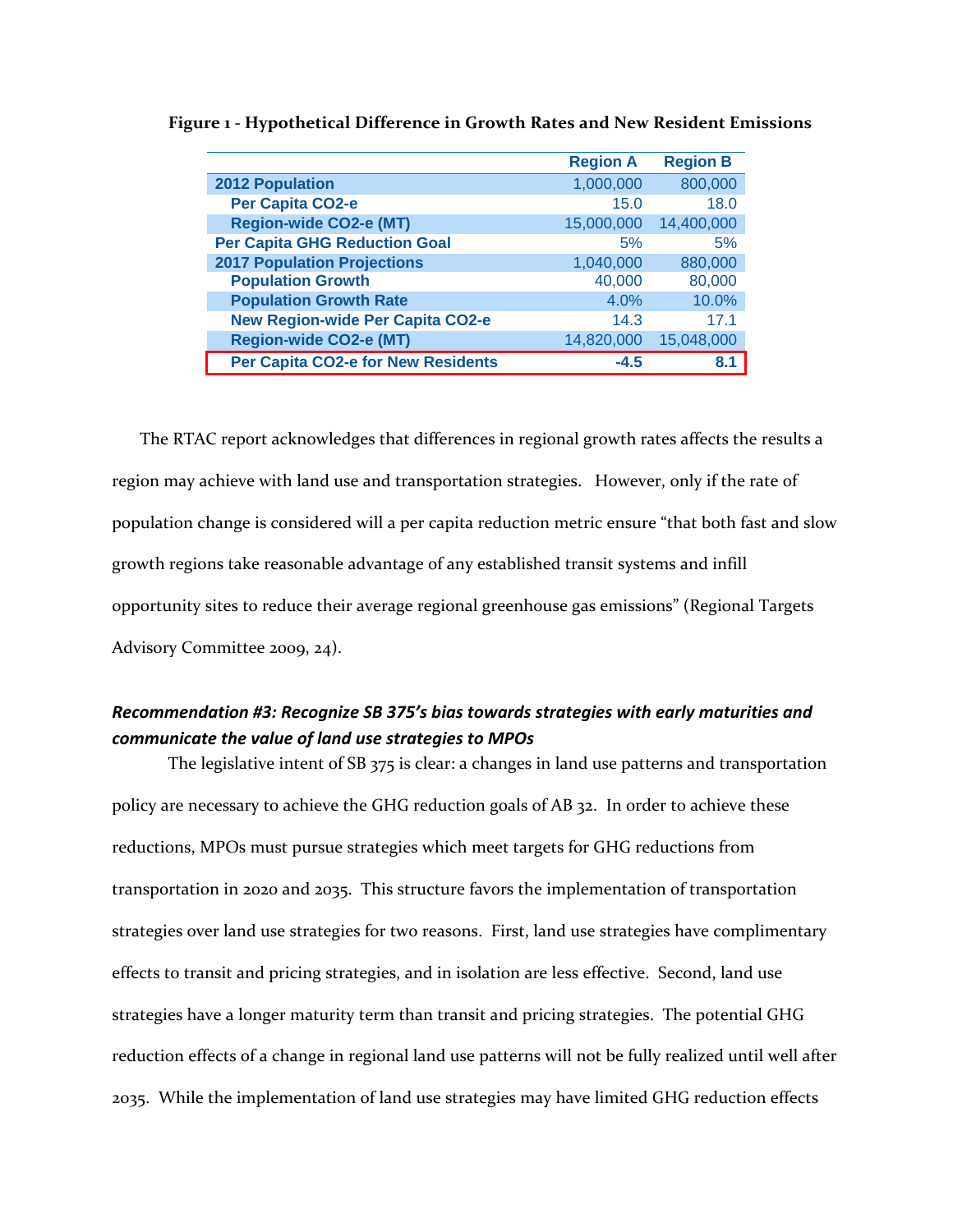|                                         | <b>Region A</b> | <b>Region B</b> |
|-----------------------------------------|-----------------|-----------------|
| <b>2012 Population</b>                  | 1,000,000       | 800,000         |
| Per Capita CO2-e                        | 15.0            | 18.0            |
| <b>Region-wide CO2-e (MT)</b>           | 15,000,000      | 14,400,000      |
| <b>Per Capita GHG Reduction Goal</b>    | 5%              | 5%              |
| <b>2017 Population Projections</b>      | 1,040,000       | 880,000         |
| <b>Population Growth</b>                | 40,000          | 80,000          |
| <b>Population Growth Rate</b>           | 4.0%            | 10.0%           |
| <b>New Region-wide Per Capita CO2-e</b> | 14.3            | 17 <sub>1</sub> |
| <b>Region-wide CO2-e (MT)</b>           | 14,820,000      | 15,048,000      |
| Per Capita CO2-e for New Residents      | $-4.5$          | 8.1             |

**Figure 1 ‐ Hypothetical Difference in Growth Rates and New Resident Emissions**

The RTAC report acknowledges that differences in regional growth rates affects the results a region may achieve with land use and transportation strategies. However, only if the rate of population change is considered will a per capita reduction metric ensure "that both fast and slow growth regions take reasonable advantage of any established transit systems and infill opportunity sites to reduce their average regional greenhouse gas emissions" (Regional Targets Advisory Committee 2009, 24).

## *Recommendation #3: Recognize SB 375's bias towards strategies with early maturities and communicate the value of land use strategies to MPOs*

The legislative intent of SB 375 is clear: a changes in land use patterns and transportation policy are necessary to achieve the GHG reduction goals of AB 32. In order to achieve these reductions, MPOs must pursue strategies which meet targets for GHG reductions from transportation in 2020 and 2035. This structure favors the implementation of transportation strategies over land use strategies for two reasons. First, land use strategies have complimentary effects to transit and pricing strategies, and in isolation are less effective. Second, land use strategies have a longer maturity term than transit and pricing strategies. The potential GHG reduction effects of a change in regional land use patterns will not be fully realized until well after 2035. While the implementation of land use strategies may have limited GHG reduction effects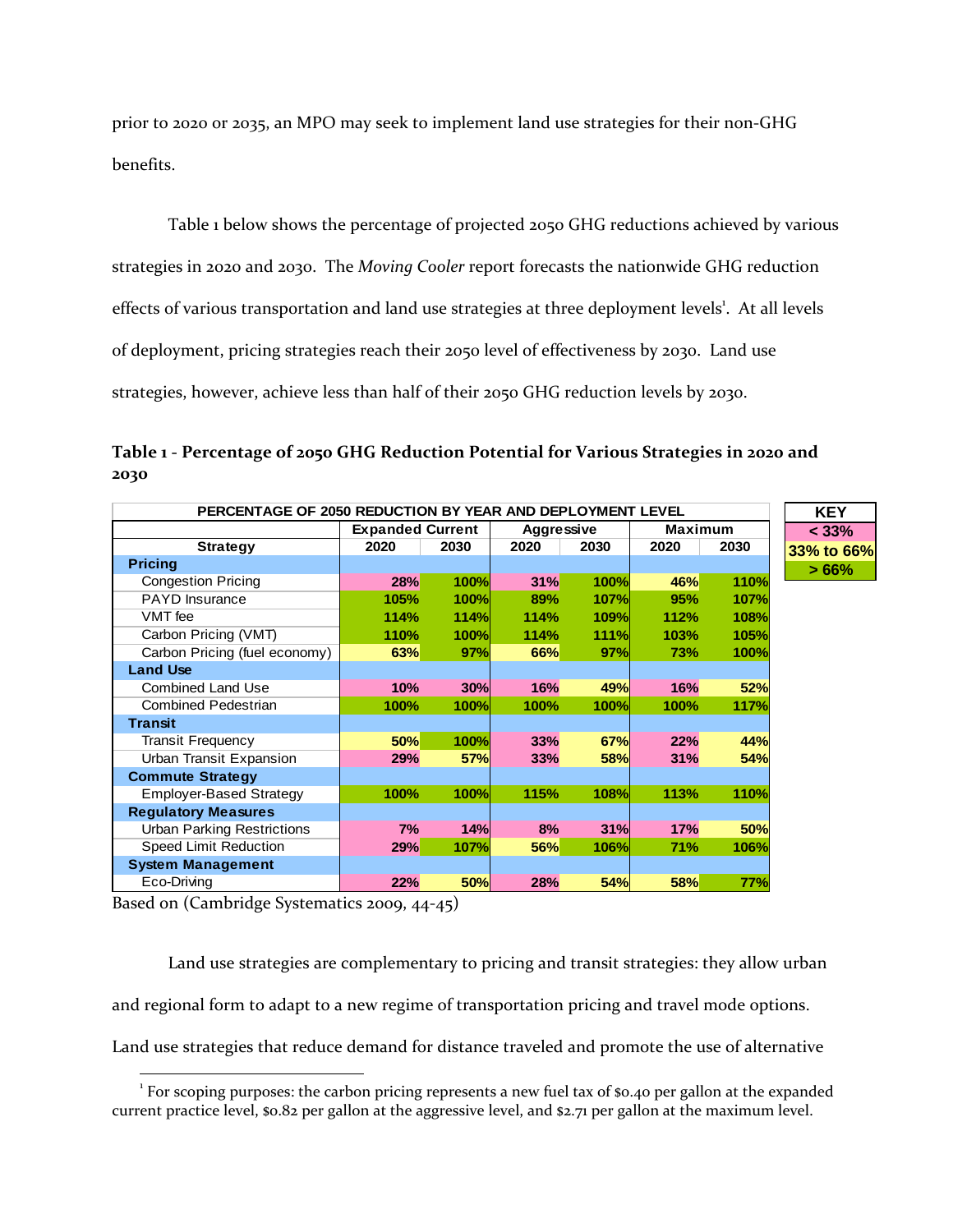prior to 2020 or 2035, an MPO may seek to implement land use strategies for their non‐GHG benefits.

Table 1 below shows the percentage of projected 2050 GHG reductions achieved by various strategies in 2020 and 2030. The *Moving Cooler* report forecasts the nationwide GHG reduction effects of various transportation and land use strategies at three deployment levels<sup>1</sup>. At all levels of deployment, pricing strategies reach their 2050 level of effectiveness by 2030. Land use strategies, however, achieve less than half of their 2050 GHG reduction levels by 2030.

**Table 1 ‐ Percentage of 2050 GHG Reduction Potential for Various Strategies in 2020 and 2030**

**33% to 66%**

| PERCENTAGE OF 2050 REDUCTION BY YEAR AND DEPLOYMENT LEVEL |      |                         |      |                   |            |                |          |
|-----------------------------------------------------------|------|-------------------------|------|-------------------|------------|----------------|----------|
|                                                           |      | <b>Expanded Current</b> |      | <b>Aggressive</b> |            | <b>Maximum</b> | < 33%    |
| <b>Strategy</b>                                           | 2020 | 2030                    | 2020 | 2030              | 2020       | 2030           | 33% to 6 |
| <b>Pricing</b>                                            |      |                         |      |                   |            |                |          |
| <b>Congestion Pricing</b>                                 | 28%  | <b>100%</b>             | 31%  | <b>100%</b>       | 46%        | 110%           |          |
| <b>PAYD</b> Insurance                                     | 105% | <b>100%</b>             | 89%  | <b>107%</b>       | 95%        | 107%           |          |
| VMT fee                                                   | 114% | 114%                    | 114% | <b>109%</b>       | 112%       | 108%           |          |
| Carbon Pricing (VMT)                                      | 110% | <b>100%</b>             | 114% | <b>111%</b>       | 103%       | 105%           |          |
| Carbon Pricing (fuel economy)                             | 63%  | 97%                     | 66%  | 97%               | 73%        | 100%           |          |
| <b>Land Use</b>                                           |      |                         |      |                   |            |                |          |
| <b>Combined Land Use</b>                                  | 10%  | 30%                     | 16%  | <b>49%</b>        | 16%        | 52%            |          |
| <b>Combined Pedestrian</b>                                | 100% | 100%                    | 100% | 100%              | 100%       | 117%           |          |
| <b>Transit</b>                                            |      |                         |      |                   |            |                |          |
| <b>Transit Frequency</b>                                  | 50%  | <b>100%</b>             | 33%  | <b>67%</b>        | 22%        | 44%            |          |
| Urban Transit Expansion                                   | 29%  | <b>57%</b>              | 33%  | <b>58%</b>        | 31%        | 54%            |          |
| <b>Commute Strategy</b>                                   |      |                         |      |                   |            |                |          |
| <b>Employer-Based Strategy</b>                            | 100% | 100%                    | 115% | 108%              | 113%       | 110%           |          |
| <b>Regulatory Measures</b>                                |      |                         |      |                   |            |                |          |
| <b>Urban Parking Restrictions</b>                         | 7%   | 14%                     | 8%   | 31%               | 17%        | <b>50%</b>     |          |
| Speed Limit Reduction                                     | 29%  | 107%                    | 56%  | 106%              | 71%        | 106%           |          |
| <b>System Management</b>                                  |      |                         |      |                   |            |                |          |
| Eco-Driving                                               | 22%  | 50%                     | 28%  | <b>54%</b>        | <b>58%</b> | 77%            |          |

Based on (Cambridge Systematics 2009, 44‐45)

Land use strategies are complementary to pricing and transit strategies: they allow urban

and regional form to adapt to a new regime of transportation pricing and travel mode options.

Land use strategies that reduce demand for distance traveled and promote the use of alternative

 <sup>1</sup> For scoping purposes: the carbon pricing represents a new fuel tax of \$0.40 per gallon at the expanded current practice level, \$0.82 per gallon at the aggressive level, and \$2.71 per gallon at the maximum level.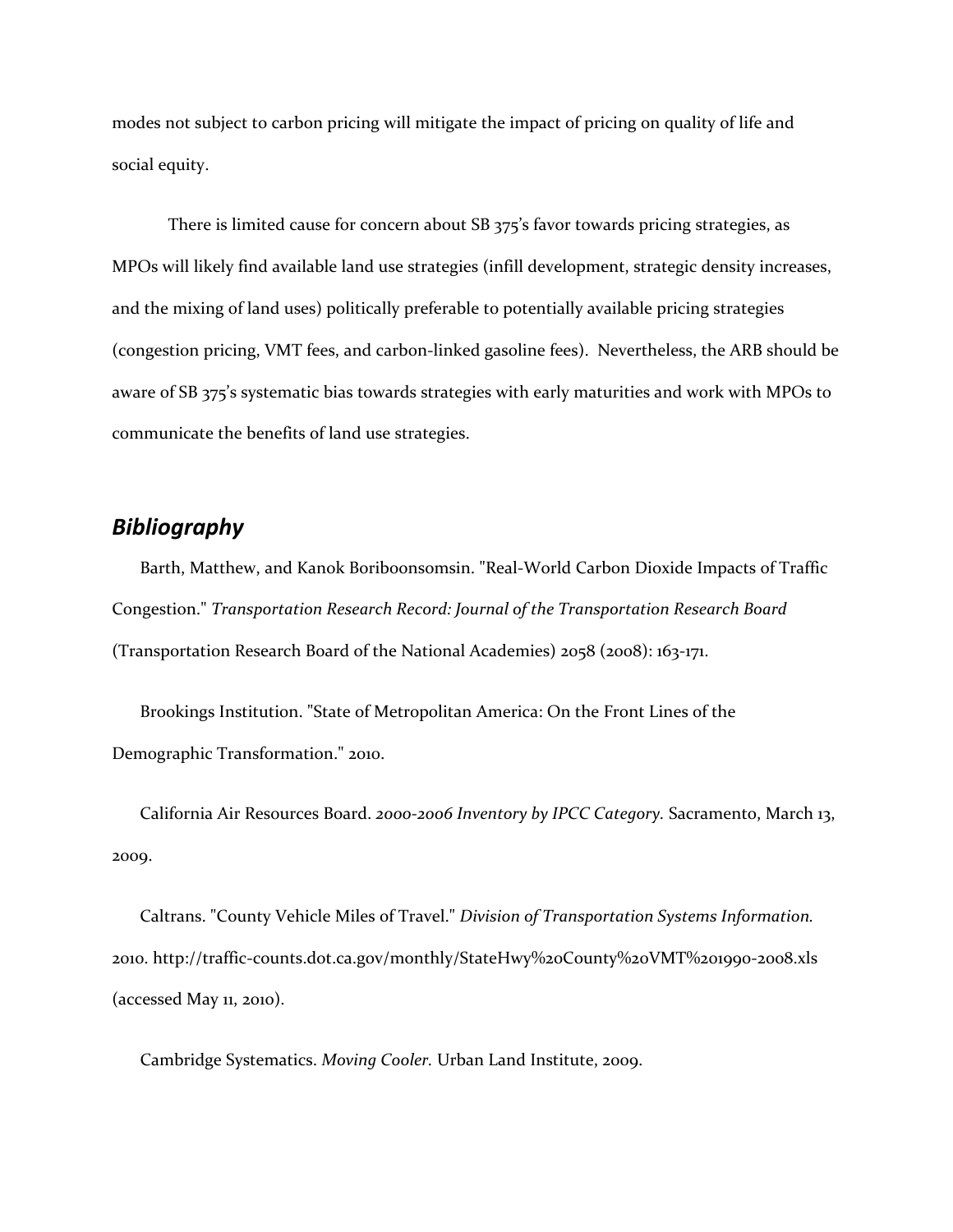modes not subject to carbon pricing will mitigate the impact of pricing on quality of life and social equity.

There is limited cause for concern about SB 375's favor towards pricing strategies, as MPOs will likely find available land use strategies (infill development, strategic density increases, and the mixing of land uses) politically preferable to potentially available pricing strategies (congestion pricing, VMT fees, and carbon‐linked gasoline fees). Nevertheless, the ARB should be aware of SB 375's systematic bias towards strategies with early maturities and work with MPOs to communicate the benefits of land use strategies.

## *Bibliography*

Barth, Matthew, and Kanok Boriboonsomsin. "Real‐World Carbon Dioxide Impacts of Traffic Congestion." *Transportation Research Record: Journal of the Transportation Research Board* (Transportation Research Board of the National Academies) 2058 (2008): 163‐171.

Brookings Institution. "State of Metropolitan America: On the Front Lines of the Demographic Transformation." 2010.

California Air Resources Board. *2000‐2006 Inventory by IPCC Category.* Sacramento, March 13, 2009.

Caltrans. "County Vehicle Miles of Travel." *Division of Transportation Systems Information.* 2010. http://traffic‐counts.dot.ca.gov/monthly/StateHwy%20County%20VMT%201990‐2008.xls (accessed May 11, 2010).

Cambridge Systematics. *Moving Cooler.* Urban Land Institute, 2009.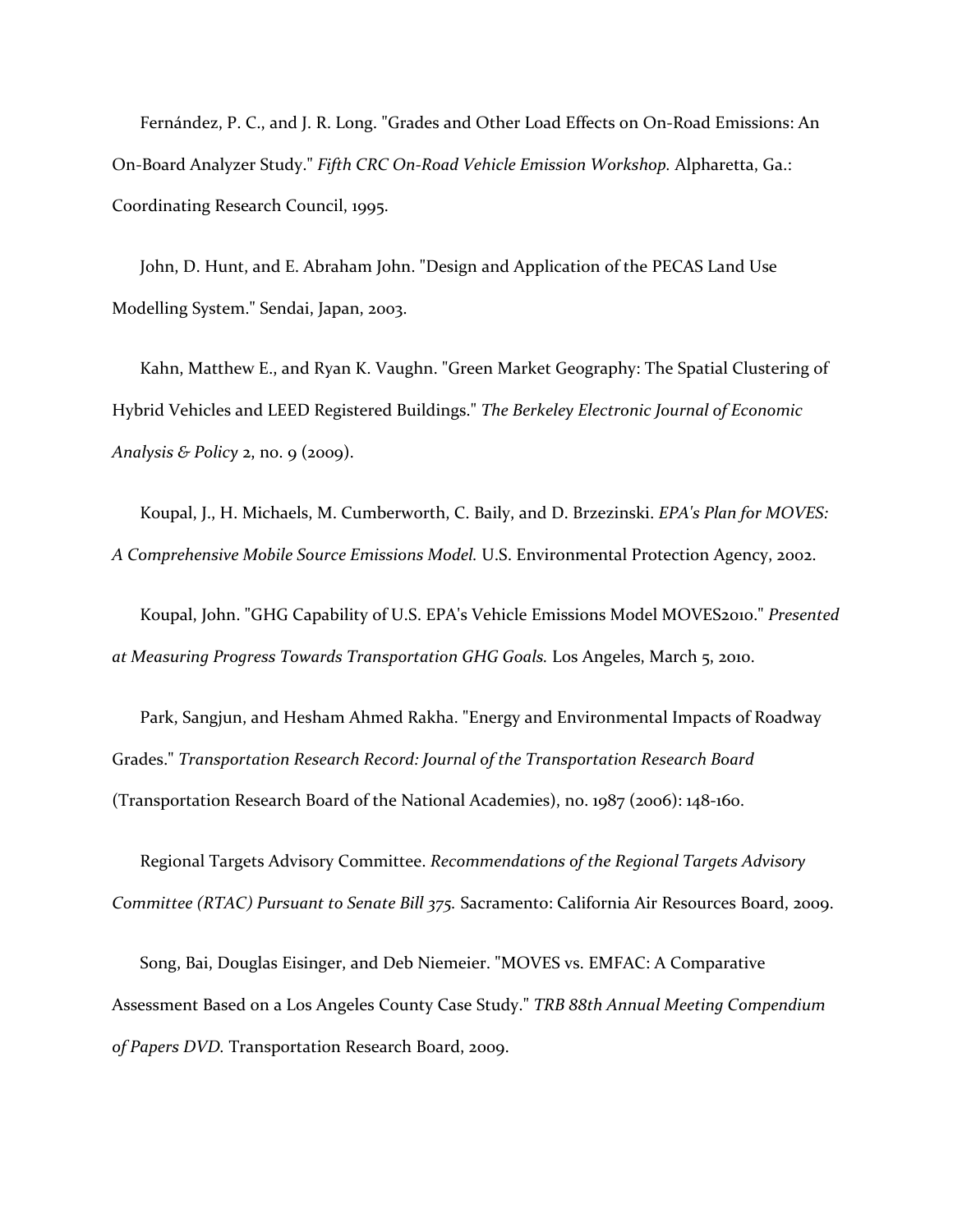Fernández, P. C., and J. R. Long. "Grades and Other Load Effects on On‐Road Emissions: An On‐Board Analyzer Study." *Fifth CRC On‐Road Vehicle Emission Workshop.* Alpharetta, Ga.: Coordinating Research Council, 1995.

John, D. Hunt, and E. Abraham John. "Design and Application of the PECAS Land Use Modelling System." Sendai, Japan, 2003.

Kahn, Matthew E., and Ryan K. Vaughn. "Green Market Geography: The Spatial Clustering of Hybrid Vehicles and LEED Registered Buildings." *The Berkeley Electronic Journal of Economic Analysis & Policy* 2, no. 9 (2009).

Koupal, J., H. Michaels, M. Cumberworth, C. Baily, and D. Brzezinski. *EPA's Plan for MOVES: A Comprehensive Mobile Source Emissions Model.* U.S. Environmental Protection Agency, 2002.

Koupal, John. "GHG Capability of U.S. EPA's Vehicle Emissions Model MOVES2010." *Presented at Measuring Progress Towards Transportation GHG Goals.* Los Angeles, March 5, 2010.

Park, Sangjun, and Hesham Ahmed Rakha. "Energy and Environmental Impacts of Roadway Grades." *Transportation Research Record: Journal of the Transportation Research Board* (Transportation Research Board of the National Academies), no. 1987 (2006): 148‐160.

Regional Targets Advisory Committee. *Recommendations of the Regional Targets Advisory Committee (RTAC) Pursuant to Senate Bill 375.* Sacramento: California Air Resources Board, 2009.

Song, Bai, Douglas Eisinger, and Deb Niemeier. "MOVES vs. EMFAC: A Comparative Assessment Based on a Los Angeles County Case Study." *TRB 88th Annual Meeting Compendium of Papers DVD.* Transportation Research Board, 2009.